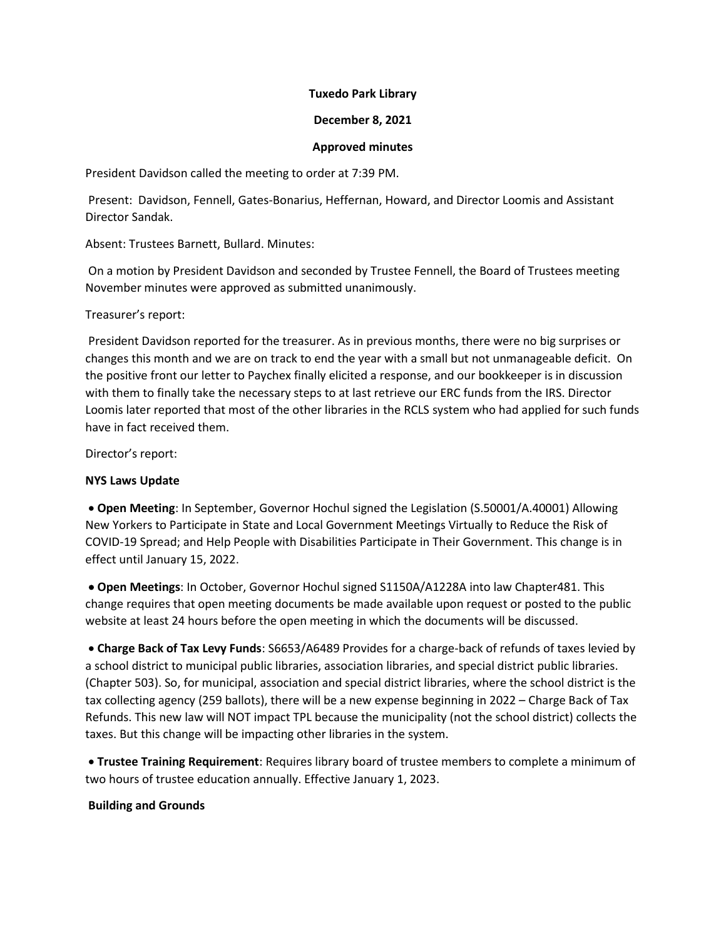## **Tuxedo Park Library**

## **December 8, 2021**

## **Approved minutes**

President Davidson called the meeting to order at 7:39 PM.

Present: Davidson, Fennell, Gates-Bonarius, Heffernan, Howard, and Director Loomis and Assistant Director Sandak.

Absent: Trustees Barnett, Bullard. Minutes:

On a motion by President Davidson and seconded by Trustee Fennell, the Board of Trustees meeting November minutes were approved as submitted unanimously.

Treasurer's report:

President Davidson reported for the treasurer. As in previous months, there were no big surprises or changes this month and we are on track to end the year with a small but not unmanageable deficit. On the positive front our letter to Paychex finally elicited a response, and our bookkeeper is in discussion with them to finally take the necessary steps to at last retrieve our ERC funds from the IRS. Director Loomis later reported that most of the other libraries in the RCLS system who had applied for such funds have in fact received them.

Director's report:

## **NYS Laws Update**

• **Open Meeting**: In September, Governor Hochul signed the Legislation (S.50001/A.40001) Allowing New Yorkers to Participate in State and Local Government Meetings Virtually to Reduce the Risk of COVID-19 Spread; and Help People with Disabilities Participate in Their Government. This change is in effect until January 15, 2022.

• **Open Meetings**: In October, Governor Hochul signed S1150A/A1228A into law Chapter481. This change requires that open meeting documents be made available upon request or posted to the public website at least 24 hours before the open meeting in which the documents will be discussed.

• **Charge Back of Tax Levy Funds**: S6653/A6489 Provides for a charge-back of refunds of taxes levied by a school district to municipal public libraries, association libraries, and special district public libraries. (Chapter 503). So, for municipal, association and special district libraries, where the school district is the tax collecting agency (259 ballots), there will be a new expense beginning in 2022 – Charge Back of Tax Refunds. This new law will NOT impact TPL because the municipality (not the school district) collects the taxes. But this change will be impacting other libraries in the system.

• **Trustee Training Requirement**: Requires library board of trustee members to complete a minimum of two hours of trustee education annually. Effective January 1, 2023.

## **Building and Grounds**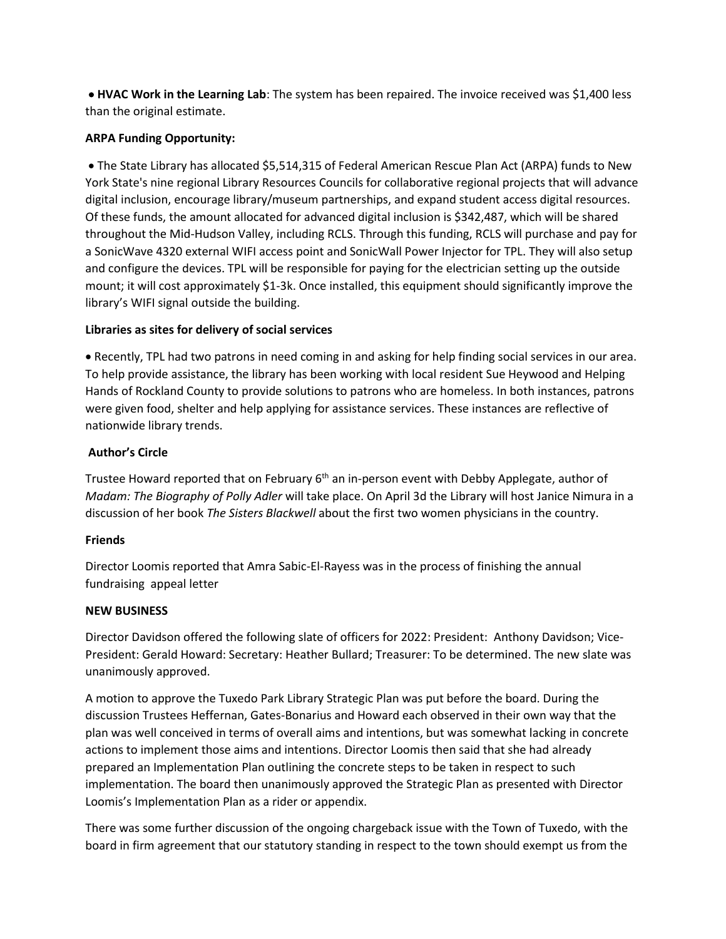• **HVAC Work in the Learning Lab**: The system has been repaired. The invoice received was \$1,400 less than the original estimate.

# **ARPA Funding Opportunity:**

• The State Library has allocated \$5,514,315 of Federal American Rescue Plan Act (ARPA) funds to New York State's nine regional Library Resources Councils for collaborative regional projects that will advance digital inclusion, encourage library/museum partnerships, and expand student access digital resources. Of these funds, the amount allocated for advanced digital inclusion is \$342,487, which will be shared throughout the Mid-Hudson Valley, including RCLS. Through this funding, RCLS will purchase and pay for a SonicWave 4320 external WIFI access point and SonicWall Power Injector for TPL. They will also setup and configure the devices. TPL will be responsible for paying for the electrician setting up the outside mount; it will cost approximately \$1-3k. Once installed, this equipment should significantly improve the library's WIFI signal outside the building.

# **Libraries as sites for delivery of social services**

• Recently, TPL had two patrons in need coming in and asking for help finding social services in our area. To help provide assistance, the library has been working with local resident Sue Heywood and Helping Hands of Rockland County to provide solutions to patrons who are homeless. In both instances, patrons were given food, shelter and help applying for assistance services. These instances are reflective of nationwide library trends.

# **Author's Circle**

Trustee Howard reported that on February  $6<sup>th</sup>$  an in-person event with Debby Applegate, author of *Madam: The Biography of Polly Adler* will take place. On April 3d the Library will host Janice Nimura in a discussion of her book *The Sisters Blackwell* about the first two women physicians in the country.

## **Friends**

Director Loomis reported that Amra Sabic-El-Rayess was in the process of finishing the annual fundraising appeal letter

## **NEW BUSINESS**

Director Davidson offered the following slate of officers for 2022: President: Anthony Davidson; Vice-President: Gerald Howard: Secretary: Heather Bullard; Treasurer: To be determined. The new slate was unanimously approved.

A motion to approve the Tuxedo Park Library Strategic Plan was put before the board. During the discussion Trustees Heffernan, Gates-Bonarius and Howard each observed in their own way that the plan was well conceived in terms of overall aims and intentions, but was somewhat lacking in concrete actions to implement those aims and intentions. Director Loomis then said that she had already prepared an Implementation Plan outlining the concrete steps to be taken in respect to such implementation. The board then unanimously approved the Strategic Plan as presented with Director Loomis's Implementation Plan as a rider or appendix.

There was some further discussion of the ongoing chargeback issue with the Town of Tuxedo, with the board in firm agreement that our statutory standing in respect to the town should exempt us from the